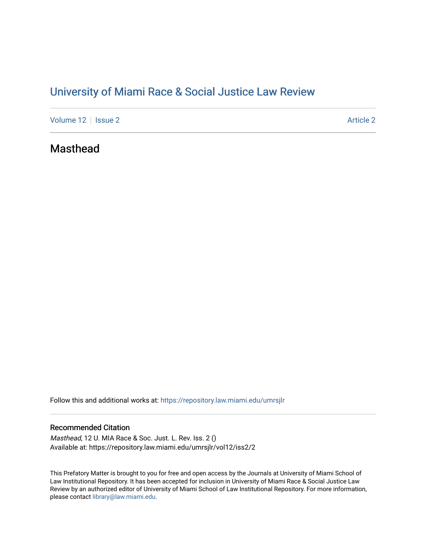# [University of Miami Race & Social Justice Law Review](https://repository.law.miami.edu/umrsjlr)

[Volume 12](https://repository.law.miami.edu/umrsjlr/vol12) | [Issue 2](https://repository.law.miami.edu/umrsjlr/vol12/iss2) Article 2

## Masthead

Follow this and additional works at: [https://repository.law.miami.edu/umrsjlr](https://repository.law.miami.edu/umrsjlr?utm_source=repository.law.miami.edu%2Fumrsjlr%2Fvol12%2Fiss2%2F2&utm_medium=PDF&utm_campaign=PDFCoverPages)

#### Recommended Citation

Masthead, 12 U. MIA Race & Soc. Just. L. Rev. Iss. 2 () Available at: https://repository.law.miami.edu/umrsjlr/vol12/iss2/2

This Prefatory Matter is brought to you for free and open access by the Journals at University of Miami School of Law Institutional Repository. It has been accepted for inclusion in University of Miami Race & Social Justice Law Review by an authorized editor of University of Miami School of Law Institutional Repository. For more information, please contact [library@law.miami.edu.](mailto:library@law.miami.edu)